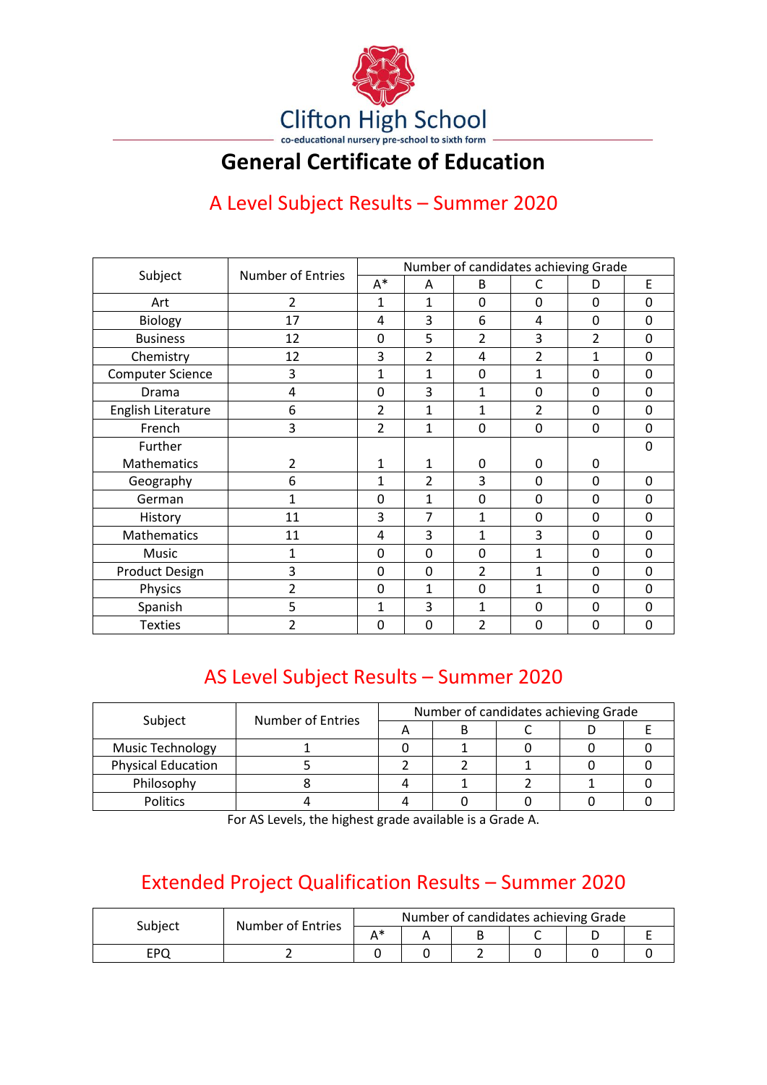

## **General Certificate of Education**

## A Level Subject Results – Summer 2020

|                         | <b>Number of Entries</b> | Number of candidates achieving Grade |                |                |              |                |             |  |
|-------------------------|--------------------------|--------------------------------------|----------------|----------------|--------------|----------------|-------------|--|
| Subject                 |                          | $A^*$                                | A              | B              | С            | D              | Е           |  |
| Art                     | $\overline{2}$           | 1                                    | $\mathbf{1}$   | 0              | $\Omega$     | 0              | $\mathbf 0$ |  |
| <b>Biology</b>          | 17                       | 4                                    | 3              | 6              | 4            | 0              | $\mathbf 0$ |  |
| <b>Business</b>         | 12                       | 0                                    | 5              | 2              | 3            | $\overline{2}$ | 0           |  |
| Chemistry               | 12                       | 3                                    | $\overline{2}$ | 4              | 2            | 1              | $\mathbf 0$ |  |
| <b>Computer Science</b> | 3                        | 1                                    | $\mathbf{1}$   | 0              | 1            | 0              | 0           |  |
| Drama                   | 4                        | 0                                    | 3              | 1              | $\Omega$     | 0              | $\Omega$    |  |
| English Literature      | 6                        | $\overline{2}$                       | $\mathbf{1}$   | 1              | 2            | 0              | $\mathbf 0$ |  |
| French                  | 3                        | $\overline{2}$                       | $\mathbf{1}$   | 0              | 0            | 0              | 0           |  |
| Further                 |                          |                                      |                |                |              |                | $\mathbf 0$ |  |
| <b>Mathematics</b>      | $\overline{2}$           | 1                                    | 1              | 0              | $\Omega$     | 0              |             |  |
| Geography               | 6                        | $\mathbf{1}$                         | $\overline{2}$ | 3              | $\mathbf 0$  | 0              | $\mathbf 0$ |  |
| German                  | $\mathbf{1}$             | 0                                    | $\mathbf{1}$   | 0              | $\mathbf 0$  | 0              | 0           |  |
| History                 | 11                       | 3                                    | 7              | 1              | $\mathbf{0}$ | 0              | $\mathbf 0$ |  |
| Mathematics             | 11                       | 4                                    | 3              | 1              | 3            | 0              | 0           |  |
| Music                   | 1                        | 0                                    | 0              | 0              | 1            | 0              | 0           |  |
| <b>Product Design</b>   | 3                        | 0                                    | 0              | 2              | $\mathbf{1}$ | 0              | 0           |  |
| Physics                 | $\overline{2}$           | 0                                    | $\mathbf{1}$   | 0              | $\mathbf{1}$ | 0              | 0           |  |
| Spanish                 | 5                        | 1                                    | 3              | 1              | $\Omega$     | 0              | 0           |  |
| <b>Texties</b>          | $\mathfrak{p}$           | 0                                    | $\mathbf 0$    | $\overline{2}$ | $\mathbf{0}$ | 0              | 0           |  |

## AS Level Subject Results – Summer 2020

|                           |                   | Number of candidates achieving Grade |  |  |  |  |  |
|---------------------------|-------------------|--------------------------------------|--|--|--|--|--|
| Subject                   | Number of Entries |                                      |  |  |  |  |  |
| <b>Music Technology</b>   |                   |                                      |  |  |  |  |  |
| <b>Physical Education</b> |                   |                                      |  |  |  |  |  |
| Philosophy                |                   |                                      |  |  |  |  |  |
| <b>Politics</b>           |                   |                                      |  |  |  |  |  |

For AS Levels, the highest grade available is a Grade A.

## Extended Project Qualification Results – Summer 2020

| Subject | <b>Number of Entries</b> | Number of candidates achieving Grade |  |  |  |  |  |  |
|---------|--------------------------|--------------------------------------|--|--|--|--|--|--|
|         |                          | ^ *                                  |  |  |  |  |  |  |
| EPO     |                          |                                      |  |  |  |  |  |  |